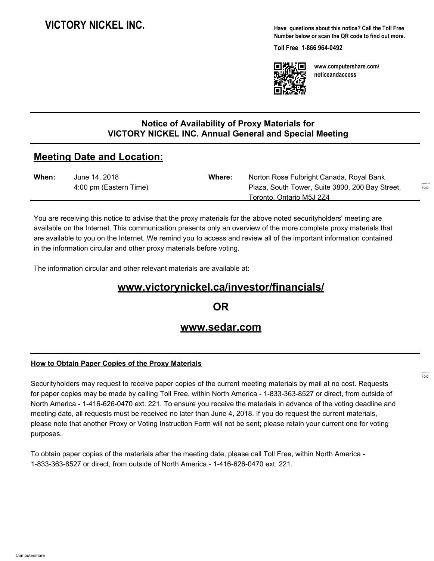# **VICTORY NICKEL INC.**

**Have questions about this notice? Call the Toll Free Number below or scan the QR code to find out more.**

**Toll Free 1-866 964-0492**



**www.computershare.com/ noticeandaccess**

## **Notice of Availability of Proxy Materials for VICTORY NICKEL INC. Annual General and Special Meeting**

## **Meeting Date and Location:**

| When: | June 14, 2018          | Where: | Norton Rose Fulbright Canada, Royal Bank        |                             |
|-------|------------------------|--------|-------------------------------------------------|-----------------------------|
|       | 4:00 pm (Eastern Time) |        | Plaza, South Tower, Suite 3800, 200 Bay Street, | $1 - 1 - 1 - 1 = 0$<br>Fold |
|       |                        |        | Toronto. Ontario M5J 2Z4                        |                             |

You are receiving this notice to advise that the proxy materials for the above noted securityholders' meeting are available on the Internet. This communication presents only an overview of the more complete proxy materials that are available to you on the Internet. We remind you to access and review all of the important information contained in the information circular and other proxy materials before voting.

The information circular and other relevant materials are available at:

# **www.victorynickel.ca/investor/financials/**

**OR**

## **www.sedar.com**

### **How to Obtain Paper Copies of the Proxy Materials**

Securityholders may request to receive paper copies of the current meeting materials by mail at no cost. Requests for paper copies may be made by calling Toll Free, within North America - 1-833-363-8527 or direct, from outside of North America - 1-416-626-0470 ext. 221. To ensure you receive the materials in advance of the voting deadline and meeting date, all requests must be received no later than June 4, 2018. If you do request the current materials, please note that another Proxy or Voting Instruction Form will not be sent; please retain your current one for voting purposes.

To obtain paper copies of the materials after the meeting date, please call Toll Free, within North America - 1-833-363-8527 or direct, from outside of North America - 1-416-626-0470 ext. 221.